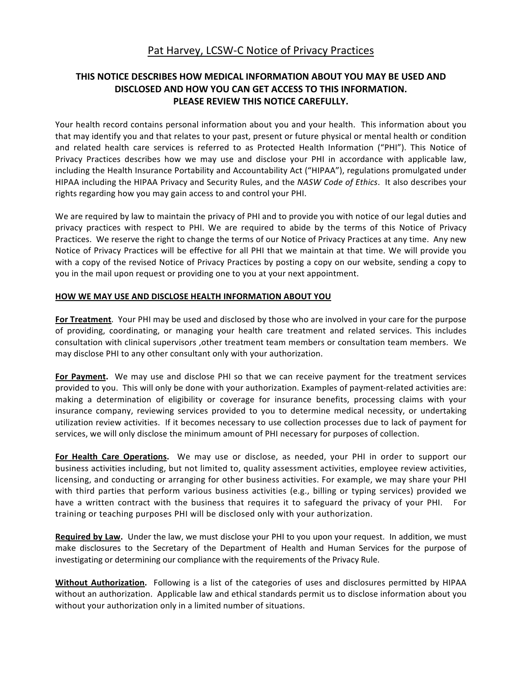# Pat Harvey, LCSW-C Notice of Privacy Practices

## **THIS NOTICE DESCRIBES HOW MEDICAL INFORMATION ABOUT YOU MAY BE USED AND DISCLOSED AND HOW YOU CAN GET ACCESS TO THIS INFORMATION. PLEASE REVIEW THIS NOTICE CAREFULLY.**

Your health record contains personal information about you and your health. This information about you that may identify you and that relates to your past, present or future physical or mental health or condition and related health care services is referred to as Protected Health Information ("PHI"). This Notice of Privacy Practices describes how we may use and disclose your PHI in accordance with applicable law, including the Health Insurance Portability and Accountability Act ("HIPAA"), regulations promulgated under HIPAA including the HIPAA Privacy and Security Rules, and the NASW Code of Ethics. It also describes your rights regarding how you may gain access to and control your PHI.

We are required by law to maintain the privacy of PHI and to provide you with notice of our legal duties and privacy practices with respect to PHI. We are required to abide by the terms of this Notice of Privacy Practices. We reserve the right to change the terms of our Notice of Privacy Practices at any time. Any new Notice of Privacy Practices will be effective for all PHI that we maintain at that time. We will provide you with a copy of the revised Notice of Privacy Practices by posting a copy on our website, sending a copy to you in the mail upon request or providing one to you at your next appointment.

### **HOW WE MAY USE AND DISCLOSE HEALTH INFORMATION ABOUT YOU**

**For Treatment**. Your PHI may be used and disclosed by those who are involved in your care for the purpose of providing, coordinating, or managing your health care treatment and related services. This includes consultation with clinical supervisors , other treatment team members or consultation team members. We may disclose PHI to any other consultant only with your authorization.

**For Payment.** We may use and disclose PHI so that we can receive payment for the treatment services provided to you. This will only be done with your authorization. Examples of payment-related activities are: making a determination of eligibility or coverage for insurance benefits, processing claims with your insurance company, reviewing services provided to you to determine medical necessity, or undertaking utilization review activities. If it becomes necessary to use collection processes due to lack of payment for services, we will only disclose the minimum amount of PHI necessary for purposes of collection.

For Health Care Operations. We may use or disclose, as needed, your PHI in order to support our business activities including, but not limited to, quality assessment activities, employee review activities, licensing, and conducting or arranging for other business activities. For example, we may share your PHI with third parties that perform various business activities (e.g., billing or typing services) provided we have a written contract with the business that requires it to safeguard the privacy of your PHI. For training or teaching purposes PHI will be disclosed only with your authorization.

**Required by Law.** Under the law, we must disclose your PHI to you upon your request. In addition, we must make disclosures to the Secretary of the Department of Health and Human Services for the purpose of investigating or determining our compliance with the requirements of the Privacy Rule.

**Without Authorization.** Following is a list of the categories of uses and disclosures permitted by HIPAA without an authorization. Applicable law and ethical standards permit us to disclose information about you without your authorization only in a limited number of situations.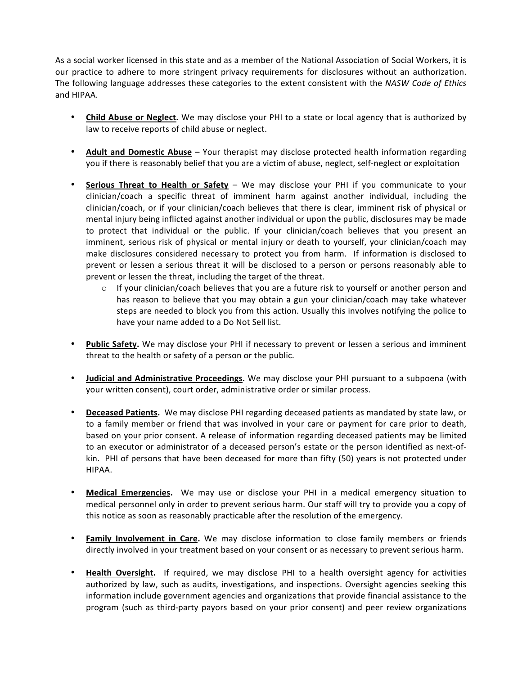As a social worker licensed in this state and as a member of the National Association of Social Workers, it is our practice to adhere to more stringent privacy requirements for disclosures without an authorization. The following language addresses these categories to the extent consistent with the NASW Code of Ethics and HIPAA.

- Child Abuse or Neglect. We may disclose your PHI to a state or local agency that is authorized by law to receive reports of child abuse or neglect.
- **Adult and Domestic Abuse** Your therapist may disclose protected health information regarding you if there is reasonably belief that you are a victim of abuse, neglect, self-neglect or exploitation
- **Serious Threat to Health or Safety** We may disclose your PHI if you communicate to your clinician/coach a specific threat of imminent harm against another individual, including the clinician/coach, or if your clinician/coach believes that there is clear, imminent risk of physical or mental injury being inflicted against another individual or upon the public, disclosures may be made to protect that individual or the public. If your clinician/coach believes that you present an imminent, serious risk of physical or mental injury or death to yourself, your clinician/coach may make disclosures considered necessary to protect you from harm. If information is disclosed to prevent or lessen a serious threat it will be disclosed to a person or persons reasonably able to prevent or lessen the threat, including the target of the threat.
	- $\circ$  If your clinician/coach believes that you are a future risk to yourself or another person and has reason to believe that you may obtain a gun your clinician/coach may take whatever steps are needed to block you from this action. Usually this involves notifying the police to have your name added to a Do Not Sell list.
- **Public Safety.** We may disclose your PHI if necessary to prevent or lessen a serious and imminent threat to the health or safety of a person or the public.
- Judicial and Administrative Proceedings. We may disclose your PHI pursuant to a subpoena (with your written consent), court order, administrative order or similar process.
- Deceased Patients. We may disclose PHI regarding deceased patients as mandated by state law, or to a family member or friend that was involved in your care or payment for care prior to death, based on your prior consent. A release of information regarding deceased patients may be limited to an executor or administrator of a deceased person's estate or the person identified as next-ofkin. PHI of persons that have been deceased for more than fifty (50) years is not protected under HIPAA.
- **Medical Emergencies.** We may use or disclose your PHI in a medical emergency situation to medical personnel only in order to prevent serious harm. Our staff will try to provide you a copy of this notice as soon as reasonably practicable after the resolution of the emergency.
- **Family Involvement in Care.** We may disclose information to close family members or friends directly involved in your treatment based on your consent or as necessary to prevent serious harm.
- **Health Oversight.** If required, we may disclose PHI to a health oversight agency for activities authorized by law, such as audits, investigations, and inspections. Oversight agencies seeking this information include government agencies and organizations that provide financial assistance to the program (such as third-party payors based on your prior consent) and peer review organizations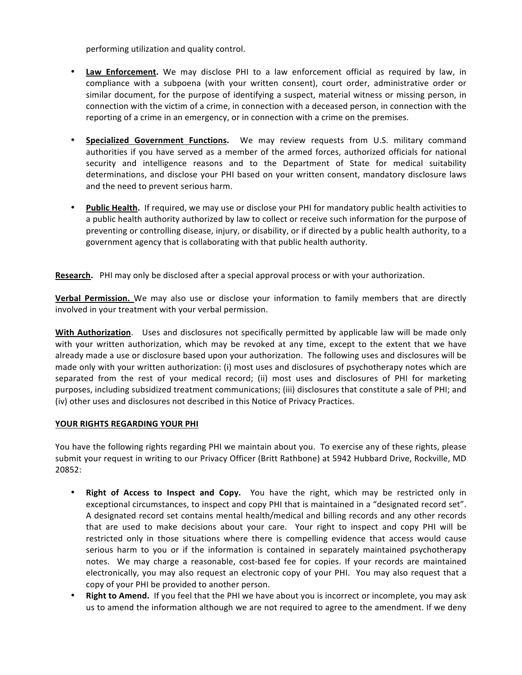performing utilization and quality control.

- Law Enforcement. We may disclose PHI to a law enforcement official as required by law, in compliance with a subpoena (with your written consent), court order, administrative order or similar document, for the purpose of identifying a suspect, material witness or missing person, in connection with the victim of a crime, in connection with a deceased person, in connection with the reporting of a crime in an emergency, or in connection with a crime on the premises.
- **Specialized Government Functions.** We may review requests from U.S. military command authorities if you have served as a member of the armed forces, authorized officials for national security and intelligence reasons and to the Department of State for medical suitability determinations, and disclose your PHI based on your written consent, mandatory disclosure laws and the need to prevent serious harm.
- Public Health. If required, we may use or disclose your PHI for mandatory public health activities to a public health authority authorized by law to collect or receive such information for the purpose of preventing or controlling disease, injury, or disability, or if directed by a public health authority, to a government agency that is collaborating with that public health authority.

**Research.** PHI may only be disclosed after a special approval process or with your authorization.

**Verbal Permission.** We may also use or disclose your information to family members that are directly involved in your treatment with your verbal permission.

**With Authorization**. Uses and disclosures not specifically permitted by applicable law will be made only with your written authorization, which may be revoked at any time, except to the extent that we have already made a use or disclosure based upon your authorization. The following uses and disclosures will be made only with your written authorization: (i) most uses and disclosures of psychotherapy notes which are separated from the rest of your medical record; (ii) most uses and disclosures of PHI for marketing purposes, including subsidized treatment communications; (iii) disclosures that constitute a sale of PHI; and (iv) other uses and disclosures not described in this Notice of Privacy Practices.

### YOUR RIGHTS REGARDING YOUR PHI

You have the following rights regarding PHI we maintain about you. To exercise any of these rights, please submit your request in writing to our Privacy Officer (Britt Rathbone) at 5942 Hubbard Drive, Rockville, MD 20852:

- **Right of Access to Inspect and Copy.** You have the right, which may be restricted only in exceptional circumstances, to inspect and copy PHI that is maintained in a "designated record set". A designated record set contains mental health/medical and billing records and any other records that are used to make decisions about your care. Your right to inspect and copy PHI will be restricted only in those situations where there is compelling evidence that access would cause serious harm to you or if the information is contained in separately maintained psychotherapy notes. We may charge a reasonable, cost-based fee for copies. If your records are maintained electronically, you may also request an electronic copy of your PHI. You may also request that a copy of your PHI be provided to another person.
- **Right to Amend.** If you feel that the PHI we have about you is incorrect or incomplete, you may ask us to amend the information although we are not required to agree to the amendment. If we deny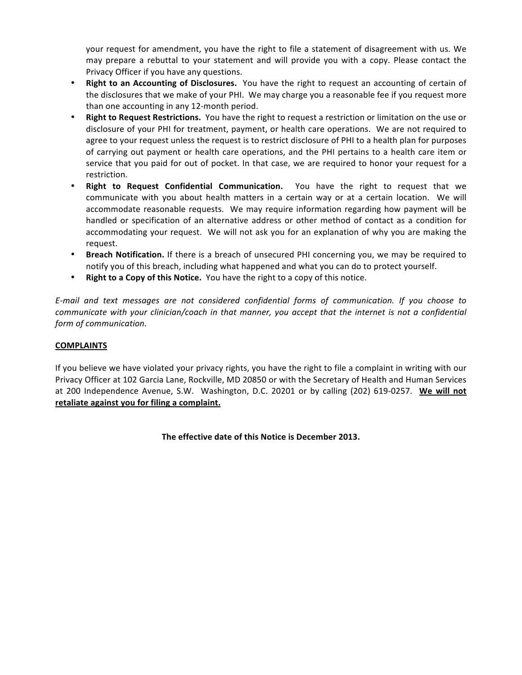your request for amendment, you have the right to file a statement of disagreement with us. We may prepare a rebuttal to your statement and will provide you with a copy. Please contact the Privacy Officer if you have any questions.

- **Right to an Accounting of Disclosures.** You have the right to request an accounting of certain of the disclosures that we make of your PHI. We may charge you a reasonable fee if you request more than one accounting in any 12-month period.
- Right to Request Restrictions. You have the right to request a restriction or limitation on the use or disclosure of your PHI for treatment, payment, or health care operations. We are not required to agree to your request unless the request is to restrict disclosure of PHI to a health plan for purposes of carrying out payment or health care operations, and the PHI pertains to a health care item or service that you paid for out of pocket. In that case, we are required to honor your request for a restriction.
- **Right to Request Confidential Communication.** You have the right to request that we communicate with you about health matters in a certain way or at a certain location. We will accommodate reasonable requests. We may require information regarding how payment will be handled or specification of an alternative address or other method of contact as a condition for accommodating your request. We will not ask you for an explanation of why you are making the request.
- **Breach Notification.** If there is a breach of unsecured PHI concerning you, we may be required to notify you of this breach, including what happened and what you can do to protect yourself.
- **Right to a Copy of this Notice.** You have the right to a copy of this notice.

*E-mail* and text messages are not considered confidential forms of communication. If you choose to *communicate* with your clinician/coach in that manner, you accept that the internet is not a confidential *form of communication.* 

### **COMPLAINTS**

If you believe we have violated your privacy rights, you have the right to file a complaint in writing with our Privacy Officer at 102 Garcia Lane, Rockville, MD 20850 or with the Secretary of Health and Human Services at 200 Independence Avenue, S.W. Washington, D.C. 20201 or by calling (202) 619-0257. We will not retaliate against you for filing a complaint.

The effective date of this Notice is December 2013.